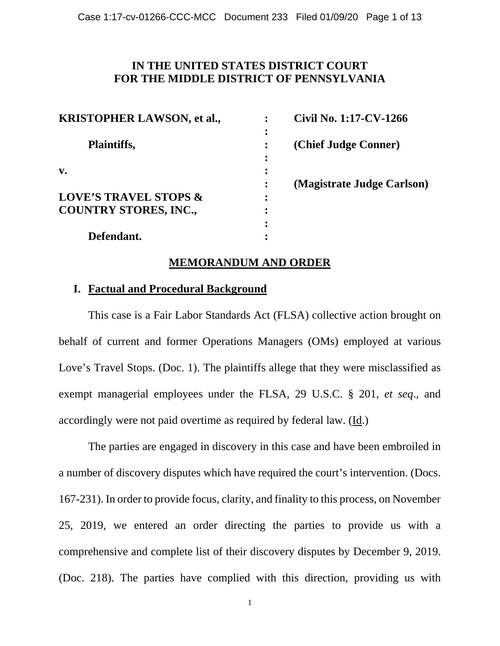## **IN THE UNITED STATES DISTRICT COURT FOR THE MIDDLE DISTRICT OF PENNSYLVANIA**

| <b>KRISTOPHER LAWSON, et al.,</b> | Civil No. 1:17-CV-1266     |
|-----------------------------------|----------------------------|
|                                   |                            |
| Plaintiffs,                       | (Chief Judge Conner)       |
|                                   |                            |
| $\mathbf{v}$ .                    |                            |
|                                   | (Magistrate Judge Carlson) |
| <b>LOVE'S TRAVEL STOPS &amp;</b>  |                            |
| <b>COUNTRY STORES, INC.,</b>      |                            |
|                                   |                            |
| Defendant.                        |                            |

## **MEMORANDUM AND ORDER**

### **I. Factual and Procedural Background**

 This case is a Fair Labor Standards Act (FLSA) collective action brought on behalf of current and former Operations Managers (OMs) employed at various Love's Travel Stops. (Doc. 1). The plaintiffs allege that they were misclassified as exempt managerial employees under the FLSA, 29 U.S.C. § 201, *et seq*., and accordingly were not paid overtime as required by federal law. (Id.)

 The parties are engaged in discovery in this case and have been embroiled in a number of discovery disputes which have required the court's intervention. (Docs. 167-231). In order to provide focus, clarity, and finality to this process, on November 25, 2019, we entered an order directing the parties to provide us with a comprehensive and complete list of their discovery disputes by December 9, 2019. (Doc. 218). The parties have complied with this direction, providing us with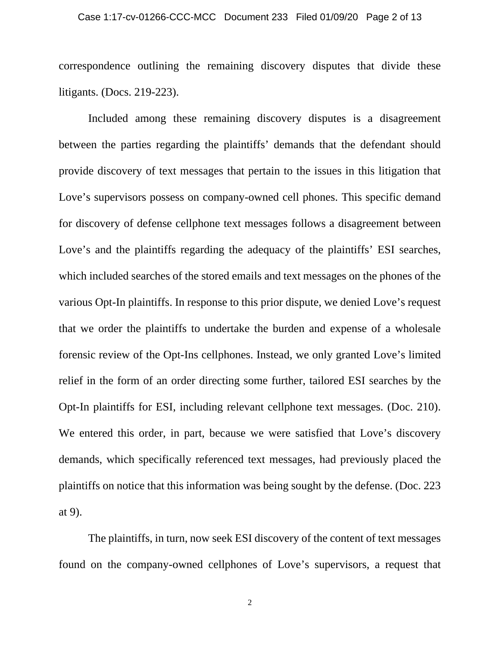correspondence outlining the remaining discovery disputes that divide these litigants. (Docs. 219-223).

Included among these remaining discovery disputes is a disagreement between the parties regarding the plaintiffs' demands that the defendant should provide discovery of text messages that pertain to the issues in this litigation that Love's supervisors possess on company-owned cell phones. This specific demand for discovery of defense cellphone text messages follows a disagreement between Love's and the plaintiffs regarding the adequacy of the plaintiffs' ESI searches, which included searches of the stored emails and text messages on the phones of the various Opt-In plaintiffs. In response to this prior dispute, we denied Love's request that we order the plaintiffs to undertake the burden and expense of a wholesale forensic review of the Opt-Ins cellphones. Instead, we only granted Love's limited relief in the form of an order directing some further, tailored ESI searches by the Opt-In plaintiffs for ESI, including relevant cellphone text messages. (Doc. 210). We entered this order, in part, because we were satisfied that Love's discovery demands, which specifically referenced text messages, had previously placed the plaintiffs on notice that this information was being sought by the defense. (Doc. 223 at 9).

The plaintiffs, in turn, now seek ESI discovery of the content of text messages found on the company-owned cellphones of Love's supervisors, a request that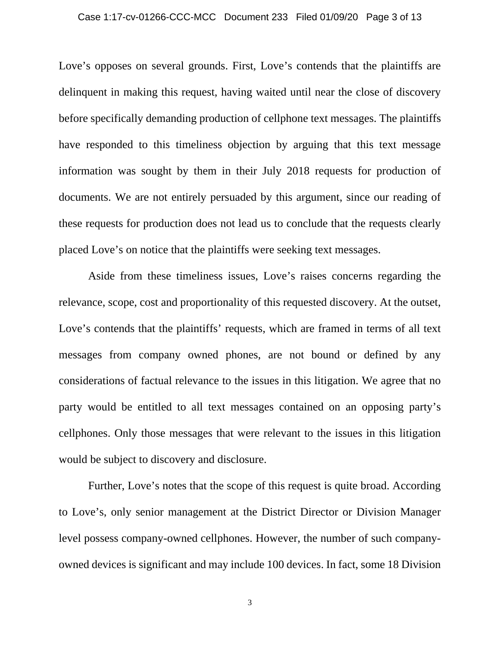Love's opposes on several grounds. First, Love's contends that the plaintiffs are delinquent in making this request, having waited until near the close of discovery before specifically demanding production of cellphone text messages. The plaintiffs have responded to this timeliness objection by arguing that this text message information was sought by them in their July 2018 requests for production of documents. We are not entirely persuaded by this argument, since our reading of these requests for production does not lead us to conclude that the requests clearly placed Love's on notice that the plaintiffs were seeking text messages.

Aside from these timeliness issues, Love's raises concerns regarding the relevance, scope, cost and proportionality of this requested discovery. At the outset, Love's contends that the plaintiffs' requests, which are framed in terms of all text messages from company owned phones, are not bound or defined by any considerations of factual relevance to the issues in this litigation. We agree that no party would be entitled to all text messages contained on an opposing party's cellphones. Only those messages that were relevant to the issues in this litigation would be subject to discovery and disclosure.

Further, Love's notes that the scope of this request is quite broad. According to Love's, only senior management at the District Director or Division Manager level possess company-owned cellphones. However, the number of such companyowned devices is significant and may include 100 devices. In fact, some 18 Division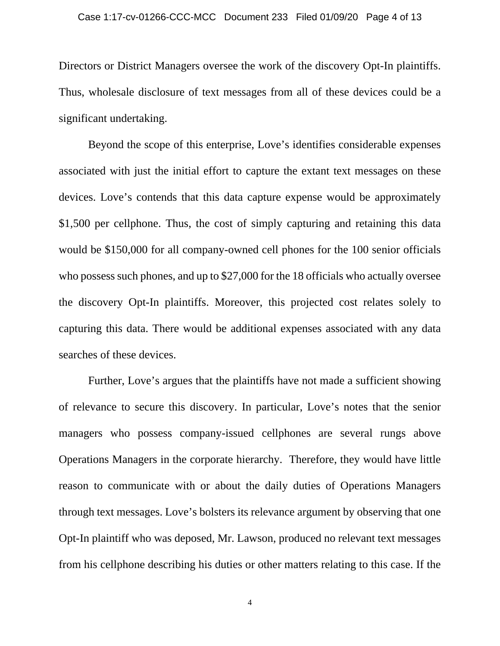Directors or District Managers oversee the work of the discovery Opt-In plaintiffs. Thus, wholesale disclosure of text messages from all of these devices could be a significant undertaking.

Beyond the scope of this enterprise, Love's identifies considerable expenses associated with just the initial effort to capture the extant text messages on these devices. Love's contends that this data capture expense would be approximately \$1,500 per cellphone. Thus, the cost of simply capturing and retaining this data would be \$150,000 for all company-owned cell phones for the 100 senior officials who possess such phones, and up to \$27,000 for the 18 officials who actually oversee the discovery Opt-In plaintiffs. Moreover, this projected cost relates solely to capturing this data. There would be additional expenses associated with any data searches of these devices.

Further, Love's argues that the plaintiffs have not made a sufficient showing of relevance to secure this discovery. In particular, Love's notes that the senior managers who possess company-issued cellphones are several rungs above Operations Managers in the corporate hierarchy. Therefore, they would have little reason to communicate with or about the daily duties of Operations Managers through text messages. Love's bolsters its relevance argument by observing that one Opt-In plaintiff who was deposed, Mr. Lawson, produced no relevant text messages from his cellphone describing his duties or other matters relating to this case. If the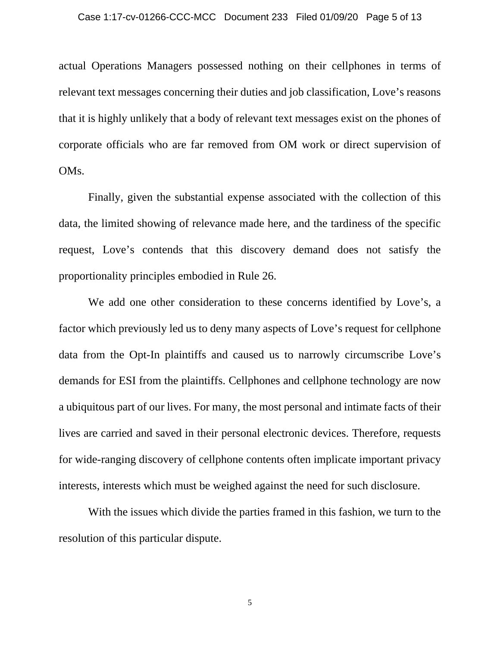actual Operations Managers possessed nothing on their cellphones in terms of relevant text messages concerning their duties and job classification, Love's reasons that it is highly unlikely that a body of relevant text messages exist on the phones of corporate officials who are far removed from OM work or direct supervision of OMs.

Finally, given the substantial expense associated with the collection of this data, the limited showing of relevance made here, and the tardiness of the specific request, Love's contends that this discovery demand does not satisfy the proportionality principles embodied in Rule 26.

We add one other consideration to these concerns identified by Love's, a factor which previously led us to deny many aspects of Love's request for cellphone data from the Opt-In plaintiffs and caused us to narrowly circumscribe Love's demands for ESI from the plaintiffs. Cellphones and cellphone technology are now a ubiquitous part of our lives. For many, the most personal and intimate facts of their lives are carried and saved in their personal electronic devices. Therefore, requests for wide-ranging discovery of cellphone contents often implicate important privacy interests, interests which must be weighed against the need for such disclosure.

With the issues which divide the parties framed in this fashion, we turn to the resolution of this particular dispute.

5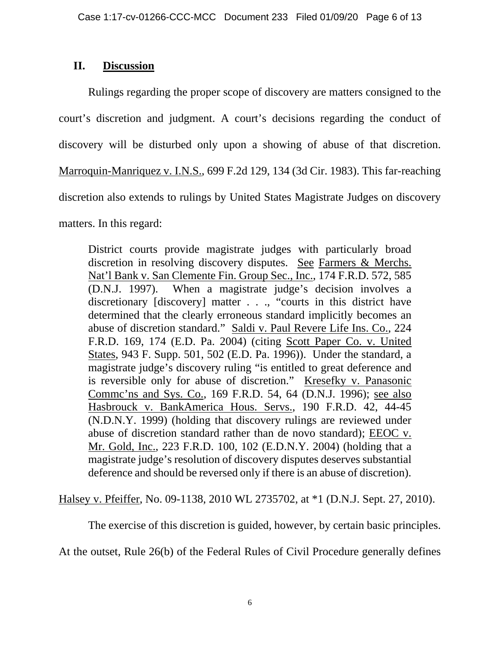# **II. Discussion**

Rulings regarding the proper scope of discovery are matters consigned to the court's discretion and judgment. A court's decisions regarding the conduct of discovery will be disturbed only upon a showing of abuse of that discretion. Marroquin-Manriquez v. I.N.S., 699 F.2d 129, 134 (3d Cir. 1983). This far-reaching discretion also extends to rulings by United States Magistrate Judges on discovery matters. In this regard:

District courts provide magistrate judges with particularly broad discretion in resolving discovery disputes. See Farmers & Merchs. Nat'l Bank v. San Clemente Fin. Group Sec., Inc., 174 F.R.D. 572, 585 (D.N.J. 1997). When a magistrate judge's decision involves a discretionary [discovery] matter . . ., "courts in this district have determined that the clearly erroneous standard implicitly becomes an abuse of discretion standard." Saldi v. Paul Revere Life Ins. Co., 224 F.R.D. 169, 174 (E.D. Pa. 2004) (citing Scott Paper Co. v. United States, 943 F. Supp. 501, 502 (E.D. Pa. 1996)). Under the standard, a magistrate judge's discovery ruling "is entitled to great deference and is reversible only for abuse of discretion." Kresefky v. Panasonic Commc'ns and Sys. Co., 169 F.R.D. 54, 64 (D.N.J. 1996); see also Hasbrouck v. BankAmerica Hous. Servs., 190 F.R.D. 42, 44-45 (N.D.N.Y. 1999) (holding that discovery rulings are reviewed under abuse of discretion standard rather than de novo standard); EEOC v. Mr. Gold, Inc., 223 F.R.D. 100, 102 (E.D.N.Y. 2004) (holding that a magistrate judge's resolution of discovery disputes deserves substantial deference and should be reversed only if there is an abuse of discretion).

Halsey v. Pfeiffer, No. 09-1138, 2010 WL 2735702, at \*1 (D.N.J. Sept. 27, 2010).

The exercise of this discretion is guided, however, by certain basic principles.

At the outset, Rule 26(b) of the Federal Rules of Civil Procedure generally defines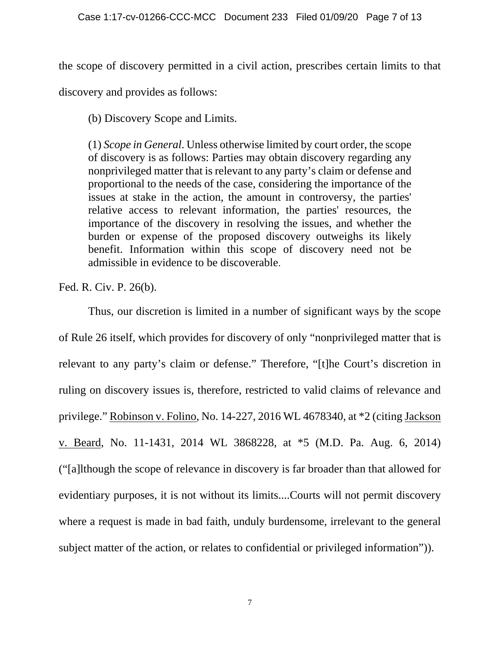the scope of discovery permitted in a civil action, prescribes certain limits to that discovery and provides as follows:

(b) Discovery Scope and Limits.

(1) *Scope in General*. Unless otherwise limited by court order, the scope of discovery is as follows: Parties may obtain discovery regarding any nonprivileged matter that is relevant to any party's claim or defense and proportional to the needs of the case, considering the importance of the issues at stake in the action, the amount in controversy, the parties' relative access to relevant information, the parties' resources, the importance of the discovery in resolving the issues, and whether the burden or expense of the proposed discovery outweighs its likely benefit. Information within this scope of discovery need not be admissible in evidence to be discoverable.

Fed. R. Civ. P. 26(b).

Thus, our discretion is limited in a number of significant ways by the scope of Rule 26 itself, which provides for discovery of only "nonprivileged matter that is relevant to any party's claim or defense." Therefore, "[t]he Court's discretion in ruling on discovery issues is, therefore, restricted to valid claims of relevance and privilege." Robinson v. Folino, No. 14-227, 2016 WL 4678340, at \*2 (citing Jackson v. Beard, No. 11-1431, 2014 WL 3868228, at \*5 (M.D. Pa. Aug. 6, 2014) ("[a]lthough the scope of relevance in discovery is far broader than that allowed for evidentiary purposes, it is not without its limits....Courts will not permit discovery where a request is made in bad faith, unduly burdensome, irrelevant to the general subject matter of the action, or relates to confidential or privileged information")).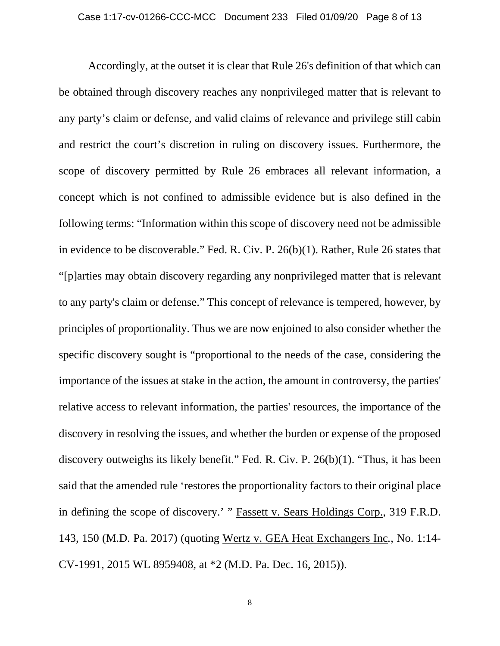Accordingly, at the outset it is clear that Rule 26's definition of that which can be obtained through discovery reaches any nonprivileged matter that is relevant to any party's claim or defense, and valid claims of relevance and privilege still cabin and restrict the court's discretion in ruling on discovery issues. Furthermore, the scope of discovery permitted by Rule 26 embraces all relevant information, a concept which is not confined to admissible evidence but is also defined in the following terms: "Information within this scope of discovery need not be admissible in evidence to be discoverable." Fed. R. Civ. P. 26(b)(1). Rather, Rule 26 states that "[p]arties may obtain discovery regarding any nonprivileged matter that is relevant to any party's claim or defense." This concept of relevance is tempered, however, by principles of proportionality. Thus we are now enjoined to also consider whether the specific discovery sought is "proportional to the needs of the case, considering the importance of the issues at stake in the action, the amount in controversy, the parties' relative access to relevant information, the parties' resources, the importance of the discovery in resolving the issues, and whether the burden or expense of the proposed discovery outweighs its likely benefit." Fed. R. Civ. P. 26(b)(1). "Thus, it has been said that the amended rule 'restores the proportionality factors to their original place in defining the scope of discovery.' " Fassett v. Sears Holdings Corp., 319 F.R.D. 143, 150 (M.D. Pa. 2017) (quoting Wertz v. GEA Heat Exchangers Inc*.*, No. 1:14- CV-1991, 2015 WL 8959408, at \*2 (M.D. Pa. Dec. 16, 2015)).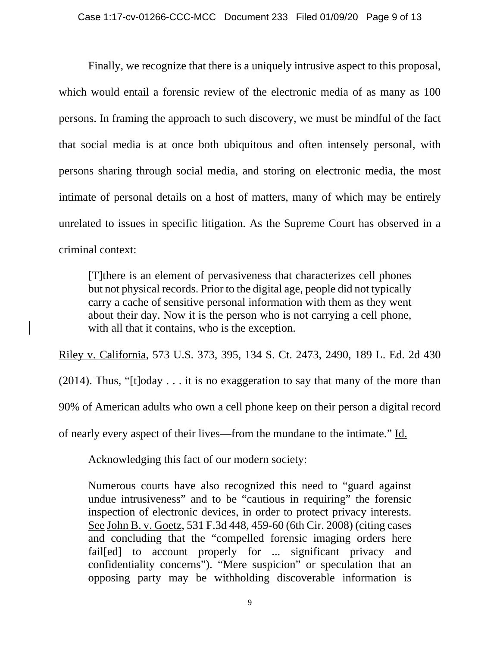Finally, we recognize that there is a uniquely intrusive aspect to this proposal, which would entail a forensic review of the electronic media of as many as 100 persons. In framing the approach to such discovery, we must be mindful of the fact that social media is at once both ubiquitous and often intensely personal, with persons sharing through social media, and storing on electronic media, the most intimate of personal details on a host of matters, many of which may be entirely unrelated to issues in specific litigation. As the Supreme Court has observed in a criminal context:

[T]there is an element of pervasiveness that characterizes cell phones but not physical records. Prior to the digital age, people did not typically carry a cache of sensitive personal information with them as they went about their day. Now it is the person who is not carrying a cell phone, with all that it contains, who is the exception.

Riley v. California, 573 U.S. 373, 395, 134 S. Ct. 2473, 2490, 189 L. Ed. 2d 430  $(2014)$ . Thus, "[t]oday . . . it is no exaggeration to say that many of the more than 90% of American adults who own a cell phone keep on their person a digital record of nearly every aspect of their lives—from the mundane to the intimate." Id.

Acknowledging this fact of our modern society:

Numerous courts have also recognized this need to "guard against undue intrusiveness" and to be "cautious in requiring" the forensic inspection of electronic devices, in order to protect privacy interests. See John B. v. Goetz, 531 F.3d 448, 459-60 (6th Cir. 2008) (citing cases and concluding that the "compelled forensic imaging orders here failed to account properly for ... significant privacy and confidentiality concerns"). "Mere suspicion" or speculation that an opposing party may be withholding discoverable information is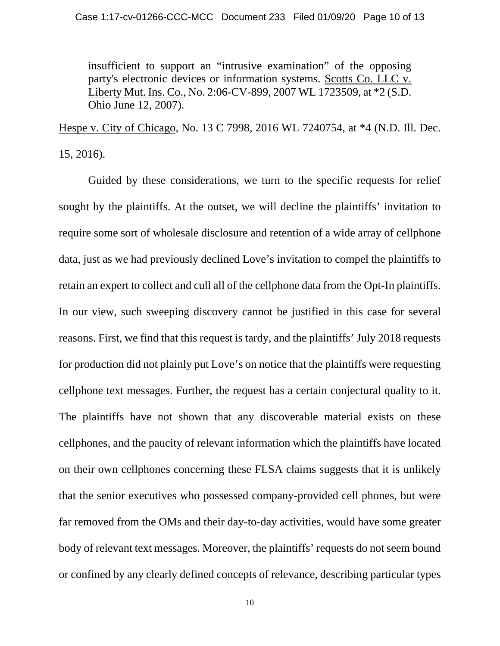insufficient to support an "intrusive examination" of the opposing party's electronic devices or information systems. Scotts Co. LLC v. Liberty Mut. Ins. Co., No. 2:06-CV-899, 2007 WL 1723509, at \*2 (S.D. Ohio June 12, 2007).

Hespe v. City of Chicago, No. 13 C 7998, 2016 WL 7240754, at \*4 (N.D. Ill. Dec. 15, 2016).

 Guided by these considerations, we turn to the specific requests for relief sought by the plaintiffs. At the outset, we will decline the plaintiffs' invitation to require some sort of wholesale disclosure and retention of a wide array of cellphone data, just as we had previously declined Love's invitation to compel the plaintiffs to retain an expert to collect and cull all of the cellphone data from the Opt-In plaintiffs. In our view, such sweeping discovery cannot be justified in this case for several reasons. First, we find that this request is tardy, and the plaintiffs' July 2018 requests for production did not plainly put Love's on notice that the plaintiffs were requesting cellphone text messages. Further, the request has a certain conjectural quality to it. The plaintiffs have not shown that any discoverable material exists on these cellphones, and the paucity of relevant information which the plaintiffs have located on their own cellphones concerning these FLSA claims suggests that it is unlikely that the senior executives who possessed company-provided cell phones, but were far removed from the OMs and their day-to-day activities, would have some greater body of relevant text messages. Moreover, the plaintiffs' requests do not seem bound or confined by any clearly defined concepts of relevance, describing particular types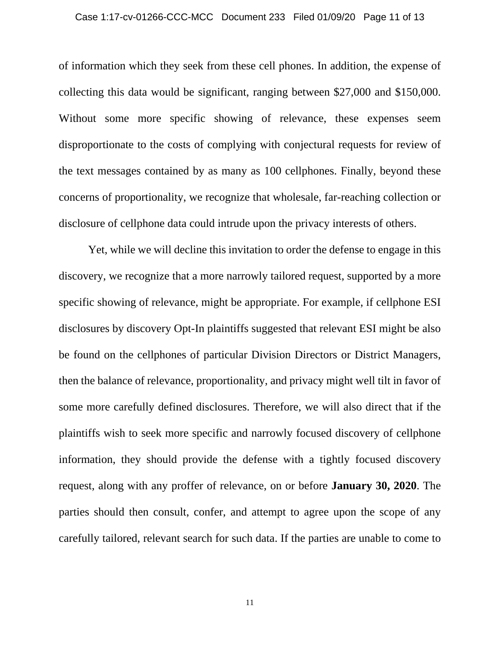of information which they seek from these cell phones. In addition, the expense of collecting this data would be significant, ranging between \$27,000 and \$150,000. Without some more specific showing of relevance, these expenses seem disproportionate to the costs of complying with conjectural requests for review of the text messages contained by as many as 100 cellphones. Finally, beyond these concerns of proportionality, we recognize that wholesale, far-reaching collection or disclosure of cellphone data could intrude upon the privacy interests of others.

 Yet, while we will decline this invitation to order the defense to engage in this discovery, we recognize that a more narrowly tailored request, supported by a more specific showing of relevance, might be appropriate. For example, if cellphone ESI disclosures by discovery Opt-In plaintiffs suggested that relevant ESI might be also be found on the cellphones of particular Division Directors or District Managers, then the balance of relevance, proportionality, and privacy might well tilt in favor of some more carefully defined disclosures. Therefore, we will also direct that if the plaintiffs wish to seek more specific and narrowly focused discovery of cellphone information, they should provide the defense with a tightly focused discovery request, along with any proffer of relevance, on or before **January 30, 2020**. The parties should then consult, confer, and attempt to agree upon the scope of any carefully tailored, relevant search for such data. If the parties are unable to come to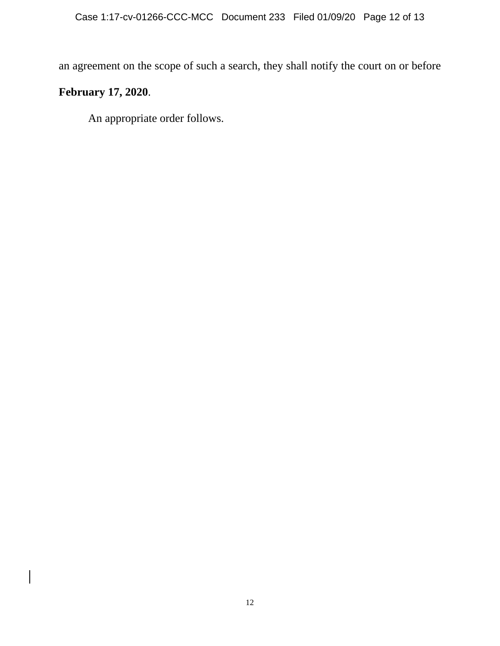an agreement on the scope of such a search, they shall notify the court on or before

# **February 17, 2020**.

An appropriate order follows.